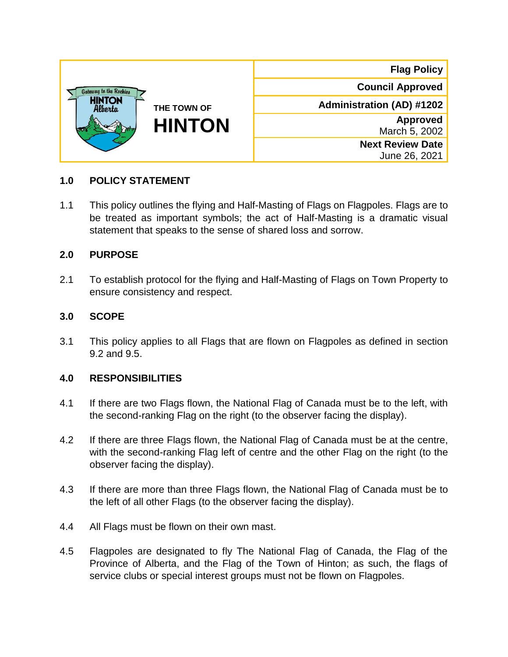| Gateway to the Rockies<br><b>HINTON</b><br>Alberta<br>THE TOWN OF<br><b>HINTON</b> | <b>Flag Policy</b>                       |
|------------------------------------------------------------------------------------|------------------------------------------|
|                                                                                    | <b>Council Approved</b>                  |
|                                                                                    | <b>Administration (AD) #1202</b>         |
|                                                                                    | <b>Approved</b><br>March 5, 2002         |
|                                                                                    | <b>Next Review Date</b><br>June 26, 2021 |

#### **1.0 POLICY STATEMENT**

1.1 This policy outlines the flying and Half-Masting of Flags on Flagpoles. Flags are to be treated as important symbols; the act of Half-Masting is a dramatic visual statement that speaks to the sense of shared loss and sorrow.

#### **2.0 PURPOSE**

2.1 To establish protocol for the flying and Half-Masting of Flags on Town Property to ensure consistency and respect.

#### **3.0 SCOPE**

3.1 This policy applies to all Flags that are flown on Flagpoles as defined in section 9.2 and 9.5.

#### **4.0 RESPONSIBILITIES**

- 4.1 If there are two Flags flown, the National Flag of Canada must be to the left, with the second-ranking Flag on the right (to the observer facing the display).
- 4.2 If there are three Flags flown, the National Flag of Canada must be at the centre, with the second-ranking Flag left of centre and the other Flag on the right (to the observer facing the display).
- 4.3 If there are more than three Flags flown, the National Flag of Canada must be to the left of all other Flags (to the observer facing the display).
- 4.4 All Flags must be flown on their own mast.
- 4.5 Flagpoles are designated to fly The National Flag of Canada, the Flag of the Province of Alberta, and the Flag of the Town of Hinton; as such, the flags of service clubs or special interest groups must not be flown on Flagpoles.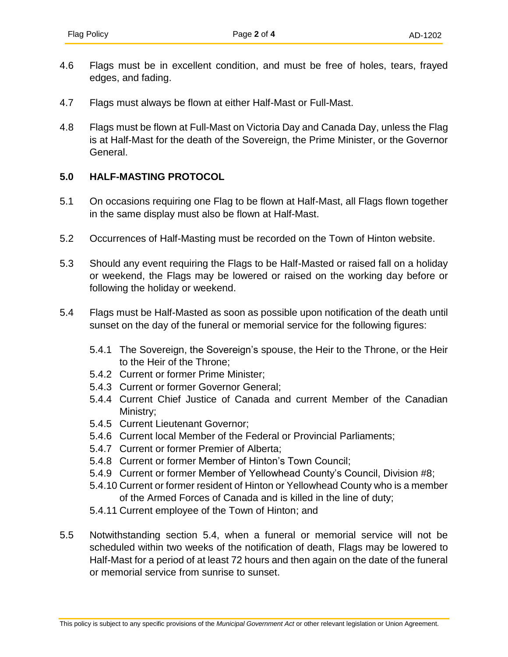- 4.6 Flags must be in excellent condition, and must be free of holes, tears, frayed edges, and fading.
- 4.7 Flags must always be flown at either Half-Mast or Full-Mast.
- 4.8 Flags must be flown at Full-Mast on Victoria Day and Canada Day, unless the Flag is at Half-Mast for the death of the Sovereign, the Prime Minister, or the Governor General.

#### **5.0 HALF-MASTING PROTOCOL**

- 5.1 On occasions requiring one Flag to be flown at Half-Mast, all Flags flown together in the same display must also be flown at Half-Mast.
- 5.2 Occurrences of Half-Masting must be recorded on the Town of Hinton website.
- 5.3 Should any event requiring the Flags to be Half-Masted or raised fall on a holiday or weekend, the Flags may be lowered or raised on the working day before or following the holiday or weekend.
- 5.4 Flags must be Half-Masted as soon as possible upon notification of the death until sunset on the day of the funeral or memorial service for the following figures:
	- 5.4.1 The Sovereign, the Sovereign's spouse, the Heir to the Throne, or the Heir to the Heir of the Throne;
	- 5.4.2 Current or former Prime Minister;
	- 5.4.3 Current or former Governor General;
	- 5.4.4 Current Chief Justice of Canada and current Member of the Canadian Ministry;
	- 5.4.5 Current Lieutenant Governor;
	- 5.4.6 Current local Member of the Federal or Provincial Parliaments;
	- 5.4.7 Current or former Premier of Alberta;
	- 5.4.8 Current or former Member of Hinton's Town Council;
	- 5.4.9 Current or former Member of Yellowhead County's Council, Division #8;
	- 5.4.10 Current or former resident of Hinton or Yellowhead County who is a member of the Armed Forces of Canada and is killed in the line of duty;
	- 5.4.11 Current employee of the Town of Hinton; and
- 5.5 Notwithstanding section 5.4, when a funeral or memorial service will not be scheduled within two weeks of the notification of death, Flags may be lowered to Half-Mast for a period of at least 72 hours and then again on the date of the funeral or memorial service from sunrise to sunset.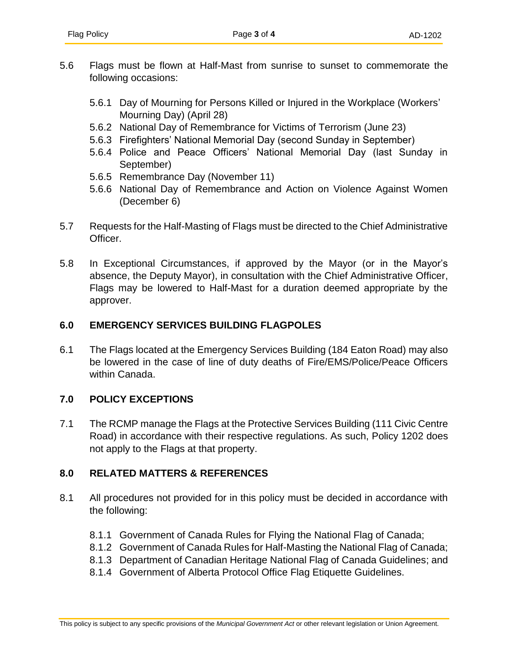- 5.6 Flags must be flown at Half-Mast from sunrise to sunset to commemorate the following occasions:
	- 5.6.1 Day of Mourning for Persons Killed or Injured in the Workplace (Workers' Mourning Day) (April 28)
	- 5.6.2 National Day of Remembrance for Victims of Terrorism (June 23)
	- 5.6.3 Firefighters' National Memorial Day (second Sunday in September)
	- 5.6.4 Police and Peace Officers' National Memorial Day (last Sunday in September)
	- 5.6.5 Remembrance Day (November 11)
	- 5.6.6 National Day of Remembrance and Action on Violence Against Women (December 6)
- 5.7 Requests for the Half-Masting of Flags must be directed to the Chief Administrative Officer.
- 5.8 In Exceptional Circumstances, if approved by the Mayor (or in the Mayor's absence, the Deputy Mayor), in consultation with the Chief Administrative Officer, Flags may be lowered to Half-Mast for a duration deemed appropriate by the approver.

# **6.0 EMERGENCY SERVICES BUILDING FLAGPOLES**

6.1 The Flags located at the Emergency Services Building (184 Eaton Road) may also be lowered in the case of line of duty deaths of Fire/EMS/Police/Peace Officers within Canada.

## **7.0 POLICY EXCEPTIONS**

7.1 The RCMP manage the Flags at the Protective Services Building (111 Civic Centre Road) in accordance with their respective regulations. As such, Policy 1202 does not apply to the Flags at that property.

## **8.0 RELATED MATTERS & REFERENCES**

- 8.1 All procedures not provided for in this policy must be decided in accordance with the following:
	- 8.1.1 Government of Canada Rules for Flying the National Flag of Canada;
	- 8.1.2 Government of Canada Rules for Half-Masting the National Flag of Canada;
	- 8.1.3 Department of Canadian Heritage National Flag of Canada Guidelines; and
	- 8.1.4 Government of Alberta Protocol Office Flag Etiquette Guidelines.

This policy is subject to any specific provisions of the *Municipal Government Act* or other relevant legislation or Union Agreement.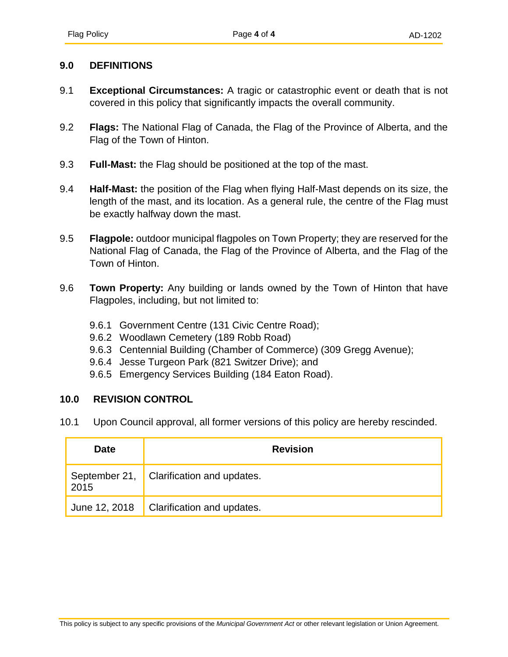#### **9.0 DEFINITIONS**

- 9.1 **Exceptional Circumstances:** A tragic or catastrophic event or death that is not covered in this policy that significantly impacts the overall community.
- 9.2 **Flags:** The National Flag of Canada, the Flag of the Province of Alberta, and the Flag of the Town of Hinton.
- 9.3 **Full-Mast:** the Flag should be positioned at the top of the mast.
- 9.4 **Half-Mast:** the position of the Flag when flying Half-Mast depends on its size, the length of the mast, and its location. As a general rule, the centre of the Flag must be exactly halfway down the mast.
- 9.5 **Flagpole:** outdoor municipal flagpoles on Town Property; they are reserved for the National Flag of Canada, the Flag of the Province of Alberta, and the Flag of the Town of Hinton.
- 9.6 **Town Property:** Any building or lands owned by the Town of Hinton that have Flagpoles, including, but not limited to:
	- 9.6.1 Government Centre (131 Civic Centre Road);
	- 9.6.2 Woodlawn Cemetery (189 Robb Road)
	- 9.6.3 Centennial Building (Chamber of Commerce) (309 Gregg Avenue);
	- 9.6.4 Jesse Turgeon Park (821 Switzer Drive); and
	- 9.6.5 Emergency Services Building (184 Eaton Road).

## **10.0 REVISION CONTROL**

10.1 Upon Council approval, all former versions of this policy are hereby rescinded.

| <b>Date</b>   | <b>Revision</b>                                  |
|---------------|--------------------------------------------------|
|               | September 21, Clarification and updates.<br>2015 |
| June 12, 2018 | Clarification and updates.                       |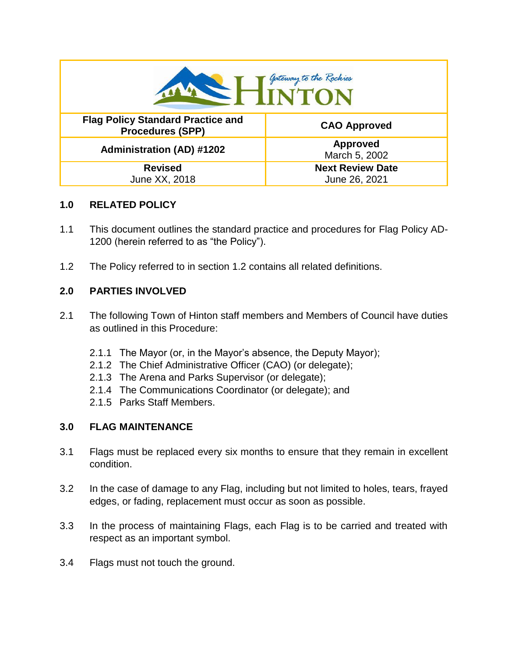| Gateway to the Rockies<br><b>INTON</b>                              |                                          |  |
|---------------------------------------------------------------------|------------------------------------------|--|
| <b>Flag Policy Standard Practice and</b><br><b>Procedures (SPP)</b> | <b>CAO Approved</b>                      |  |
| <b>Administration (AD) #1202</b>                                    | <b>Approved</b><br>March 5, 2002         |  |
| <b>Revised</b><br>June XX, 2018                                     | <b>Next Review Date</b><br>June 26, 2021 |  |

## **1.0 RELATED POLICY**

- 1.1 This document outlines the standard practice and procedures for Flag Policy AD-1200 (herein referred to as "the Policy").
- 1.2 The Policy referred to in section 1.2 contains all related definitions.

# **2.0 PARTIES INVOLVED**

- 2.1 The following Town of Hinton staff members and Members of Council have duties as outlined in this Procedure:
	- 2.1.1 The Mayor (or, in the Mayor's absence, the Deputy Mayor);
	- 2.1.2 The Chief Administrative Officer (CAO) (or delegate);
	- 2.1.3 The Arena and Parks Supervisor (or delegate);
	- 2.1.4 The Communications Coordinator (or delegate); and
	- 2.1.5 Parks Staff Members.

## **3.0 FLAG MAINTENANCE**

- 3.1 Flags must be replaced every six months to ensure that they remain in excellent condition.
- 3.2 In the case of damage to any Flag, including but not limited to holes, tears, frayed edges, or fading, replacement must occur as soon as possible.
- 3.3 In the process of maintaining Flags, each Flag is to be carried and treated with respect as an important symbol.
- 3.4 Flags must not touch the ground.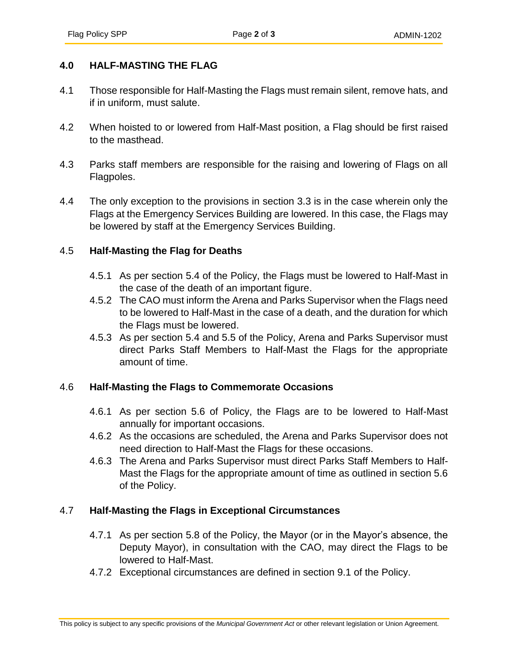## **4.0 HALF-MASTING THE FLAG**

- 4.1 Those responsible for Half-Masting the Flags must remain silent, remove hats, and if in uniform, must salute.
- 4.2 When hoisted to or lowered from Half-Mast position, a Flag should be first raised to the masthead.
- 4.3 Parks staff members are responsible for the raising and lowering of Flags on all Flagpoles.
- 4.4 The only exception to the provisions in section 3.3 is in the case wherein only the Flags at the Emergency Services Building are lowered. In this case, the Flags may be lowered by staff at the Emergency Services Building.

#### 4.5 **Half-Masting the Flag for Deaths**

- 4.5.1 As per section 5.4 of the Policy, the Flags must be lowered to Half-Mast in the case of the death of an important figure.
- 4.5.2 The CAO must inform the Arena and Parks Supervisor when the Flags need to be lowered to Half-Mast in the case of a death, and the duration for which the Flags must be lowered.
- 4.5.3 As per section 5.4 and 5.5 of the Policy, Arena and Parks Supervisor must direct Parks Staff Members to Half-Mast the Flags for the appropriate amount of time.

## 4.6 **Half-Masting the Flags to Commemorate Occasions**

- 4.6.1 As per section 5.6 of Policy, the Flags are to be lowered to Half-Mast annually for important occasions.
- 4.6.2 As the occasions are scheduled, the Arena and Parks Supervisor does not need direction to Half-Mast the Flags for these occasions.
- 4.6.3 The Arena and Parks Supervisor must direct Parks Staff Members to Half-Mast the Flags for the appropriate amount of time as outlined in section 5.6 of the Policy.

## 4.7 **Half-Masting the Flags in Exceptional Circumstances**

- 4.7.1 As per section 5.8 of the Policy, the Mayor (or in the Mayor's absence, the Deputy Mayor), in consultation with the CAO, may direct the Flags to be lowered to Half-Mast.
- 4.7.2 Exceptional circumstances are defined in section 9.1 of the Policy.